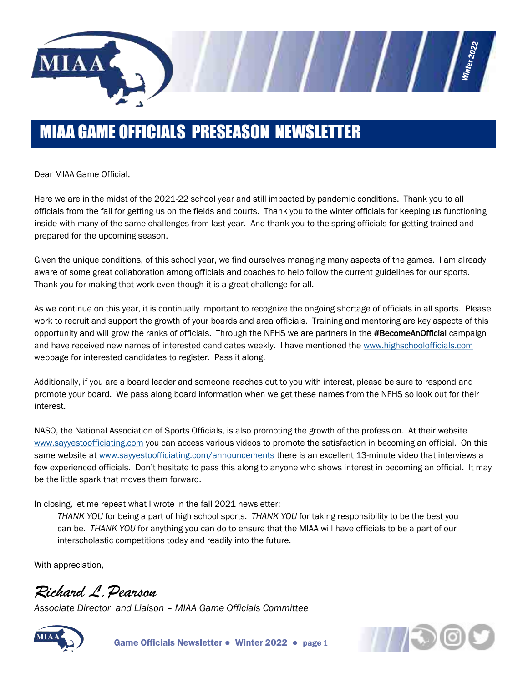

# MIAA GAME OFFICIALS PRESEASON NEWSLETTER

Dear MIAA Game Official,

Here we are in the midst of the 2021-22 school year and still impacted by pandemic conditions. Thank you to all officials from the fall for getting us on the fields and courts. Thank you to the winter officials for keeping us functioning inside with many of the same challenges from last year. And thank you to the spring officials for getting trained and prepared for the upcoming season.

Given the unique conditions, of this school year, we find ourselves managing many aspects of the games. I am already aware of some great collaboration among officials and coaches to help follow the current guidelines for our sports. Thank you for making that work even though it is a great challenge for all.

As we continue on this year, it is continually important to recognize the ongoing shortage of officials in all sports. Please work to recruit and support the growth of your boards and area officials. Training and mentoring are key aspects of this opportunity and will grow the ranks of officials. Through the NFHS we are partners in the #BecomeAnOfficial campaign and have received new names of interested candidates weekly. I have mentioned the www.highschoolofficials.com webpage for interested candidates to register. Pass it along.

Additionally, if you are a board leader and someone reaches out to you with interest, please be sure to respond and promote your board. We pass along board information when we get these names from the NFHS so look out for their interest.

NASO, the National Association of Sports Officials, is also promoting the growth of the profession. At their website www.sayyestoofficiating.com you can access various videos to promote the satisfaction in becoming an official. On this same website at www.sayyestoofficiating.com/announcements there is an excellent 13-minute video that interviews a few experienced officials. Don't hesitate to pass this along to anyone who shows interest in becoming an official. It may be the little spark that moves them forward.

In closing, let me repeat what I wrote in the fall 2021 newsletter:

*THANK YOU* for being a part of high school sports. *THANK YOU* for taking responsibility to be the best you can be. *THANK YOU* for anything you can do to ensure that the MIAA will have officials to be a part of our interscholastic competitions today and readily into the future.

With appreciation,

*Richard L.Pearson*

*Associate Director and Liaison – MIAA Game Officials Committee*





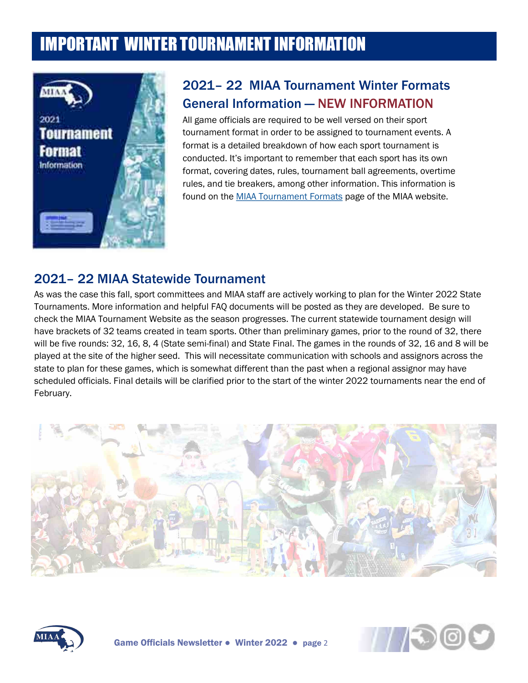# IMPORTANT WINTER TOURNAMENT INFORMATION



# 2021– 22 MIAA Tournament Winter Formats General Information — NEW INFORMATION

All game officials are required to be well versed on their sport tournament format in order to be assigned to tournament events. A format is a detailed breakdown of how each sport tournament is conducted. It's important to remember that each sport has its own format, covering dates, rules, tournament ball agreements, overtime rules, and tie breakers, among other information. This information is found on the MIAA Tournament Formats page of the MIAA website.

### 2021– 22 MIAA Statewide Tournament

As was the case this fall, sport committees and MIAA staff are actively working to plan for the Winter 2022 State Tournaments. More information and helpful FAQ documents will be posted as they are developed. Be sure to check the MIAA Tournament Website as the season progresses. The current statewide tournament design will have brackets of 32 teams created in team sports. Other than preliminary games, prior to the round of 32, there will be five rounds: 32, 16, 8, 4 (State semi-final) and State Final. The games in the rounds of 32, 16 and 8 will be played at the site of the higher seed. This will necessitate communication with schools and assignors across the state to plan for these games, which is somewhat different than the past when a regional assignor may have scheduled officials. Final details will be clarified prior to the start of the winter 2022 tournaments near the end of February.





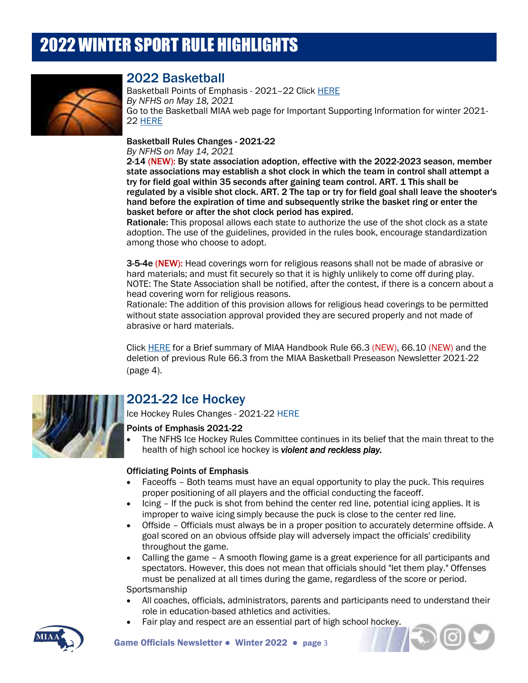# 2022 WINTER SPORT RULE HIGHLIGHTS



### 2022 Basketball

Basketball Points of Emphasis - 2021–22 Click HERE *By NFHS on May 18, 2021*  Go to the Basketball MIAA web page for Important Supporting Information for winter 2021- 22 HERE

#### Basketball Rules Changes - 2021-22

*By NFHS on May 14, 2021* 

2-14 (NEW): By state association adoption, effective with the 2022-2023 season, member state associations may establish a shot clock in which the team in control shall attempt a try for field goal within 35 seconds after gaining team control. ART. 1 This shall be regulated by a visible shot clock. ART. 2 The tap or try for field goal shall leave the shooter's hand before the expiration of time and subsequently strike the basket ring or enter the basket before or after the shot clock period has expired.

Rationale: This proposal allows each state to authorize the use of the shot clock as a state adoption. The use of the guidelines, provided in the rules book, encourage standardization among those who choose to adopt.

3-5-4e (NEW): Head coverings worn for religious reasons shall not be made of abrasive or hard materials; and must fit securely so that it is highly unlikely to come off during play. NOTE: The State Association shall be notified, after the contest, if there is a concern about a head covering worn for religious reasons.

Rationale: The addition of this provision allows for religious head coverings to be permitted without state association approval provided they are secured properly and not made of abrasive or hard materials.

Click HERE for a Brief summary of MIAA Handbook Rule 66.3 (NEW), 66.10 (NEW) and the deletion of previous Rule 66.3 from the MIAA Basketball Preseason Newsletter 2021-22  $(page 4)$ .



### 2021-22 Ice Hockey

Ice Hockey Rules Changes - 2021-22 HERE

#### Points of Emphasis 2021-22

 The NFHS Ice Hockey Rules Committee continues in its belief that the main threat to the health of high school ice hockey is *violent and reckless play.* 

#### Officiating Points of Emphasis

- Faceoffs Both teams must have an equal opportunity to play the puck. This requires proper positioning of all players and the official conducting the faceoff.
- Icing If the puck is shot from behind the center red line, potential icing applies. It is improper to waive icing simply because the puck is close to the center red line.
- Offside Officials must always be in a proper position to accurately determine offside. A goal scored on an obvious offside play will adversely impact the officials' credibility throughout the game.
- Calling the game A smooth flowing game is a great experience for all participants and spectators. However, this does not mean that officials should "let them play." Offenses must be penalized at all times during the game, regardless of the score or period. **Sportsmanship**
- All coaches, officials, administrators, parents and participants need to understand their role in education-based athletics and activities.
- Fair play and respect are an essential part of high school hockey.

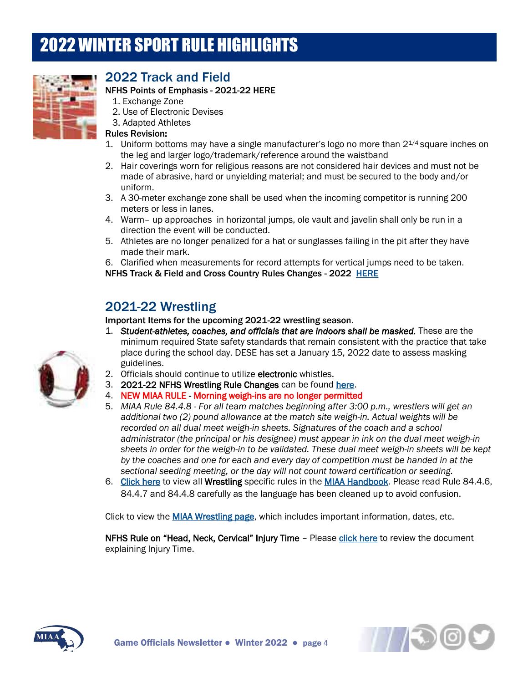

## 2022 Track and Field

#### NFHS Points of Emphasis - 2021-22 HERE

- 1. Exchange Zone
- 2. Use of Electronic Devises
- 3. Adapted Athletes

#### Rules Revision:

- 1. Uniform bottoms may have a single manufacturer's logo no more than  $2^{1/4}$  square inches on the leg and larger logo/trademark/reference around the waistband
- 2. Hair coverings worn for religious reasons are not considered hair devices and must not be made of abrasive, hard or unyielding material; and must be secured to the body and/or uniform.
- 3. A 30-meter exchange zone shall be used when the incoming competitor is running 200 meters or less in lanes.
- 4. Warm– up approaches in horizontal jumps, ole vault and javelin shall only be run in a direction the event will be conducted.
- 5. Athletes are no longer penalized for a hat or sunglasses failing in the pit after they have made their mark.

6. Clarified when measurements for record attempts for vertical jumps need to be taken.

NFHS Track & Field and Cross Country Rules Changes - 2022 HERE

## 2021-22 Wrestling

Important Items for the upcoming 2021-22 wrestling season.

- 1. *Student-athletes, coaches, and officials that are indoors shall be masked.* These are the minimum required State safety standards that remain consistent with the practice that take place during the school day. DESE has set a January 15, 2022 date to assess masking guidelines.
- 2. Officials should continue to utilize electronic whistles.
- 3. 2021-22 NFHS Wrestling Rule Changes can be found here.
- 4. NEW MIAA RULE Morning weigh-ins are no longer permitted
- 5. *MIAA Rule 84.4.8 For all team matches beginning after 3:00 p.m., wrestlers will get an additional two (2) pound allowance at the match site weigh-in. Actual weights will be recorded on all dual meet weigh-in sheets. Signatures of the coach and a school administrator (the principal or his designee) must appear in ink on the dual meet weigh-in sheets in order for the weigh-in to be validated. These dual meet weigh-in sheets will be kept by the coaches and one for each and every day of competition must be handed in at the sectional seeding meeting, or the day will not count toward certification or seeding.*
- 6. Click here to view all Wrestling specific rules in the MIAA Handbook. Please read Rule 84.4.6, 84.4.7 and 84.4.8 carefully as the language has been cleaned up to avoid confusion.

Click to view the **MIAA Wrestling page**, which includes important information, dates, etc.

NFHS Rule on "Head, Neck, Cervical" Injury Time - Please click here to review the document explaining Injury Time.





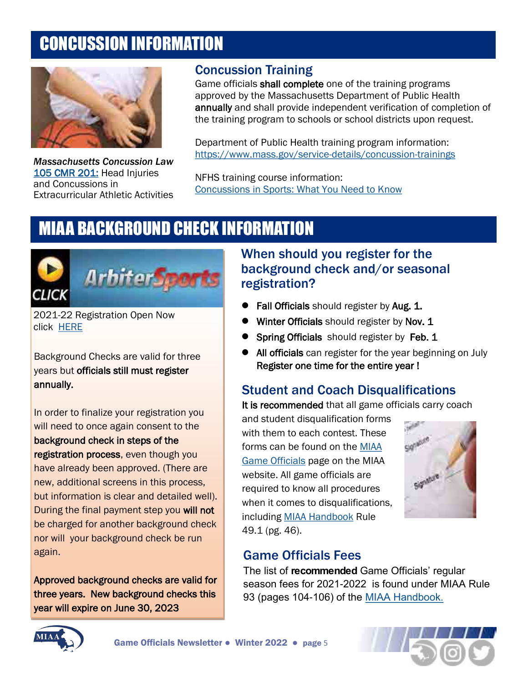# CONCUSSION INFORMATION



*Massachusetts Concussion Law* 105 CMR 201: Head Injuries and Concussions in Extracurricular Athletic Activities

## Concussion Training

Game officials shall complete one of the training programs approved by the Massachusetts Department of Public Health annually and shall provide independent verification of completion of the training program to schools or school districts upon request.

Department of Public Health training program information: https://www.mass.gov/service-details/concussion-trainings

NFHS training course information: Concussions in Sports: What You Need to Know

# MIAA BACKGROUND CHECK INFORMATION



2021-22 Registration Open Now click HERE

Background Checks are valid for three years but officials still must register annually.

In order to finalize your registration you will need to once again consent to the background check in steps of the registration process, even though you have already been approved. (There are new, additional screens in this process, but information is clear and detailed well). During the final payment step you will not be charged for another background check nor will your background check be run again.

Approved background checks are valid for three years. New background checks this year will expire on June 30, 2023

### When should you register for the background check and/or seasonal registration?

- Fall Officials should register by Aug. 1.
- **Winter Officials** should register by Nov. 1
- Spring Officials should register by Feb. 1
- All officials can register for the year beginning on July Register one time for the entire year !

# Student and Coach Disqualifications

It is recommended that all game officials carry coach

and student disqualification forms with them to each contest. These forms can be found on the MIAA Game Officials page on the MIAA website. All game officials are required to know all procedures when it comes to disqualifications, including MIAA Handbook Rule 49.1 (pg. 46).



## Game Officials Fees

The list of **recommended** Game Officials' regular season fees for 2021-2022 is found under MIAA Rule 93 (pages 104-106) of the MIAA Handbook.



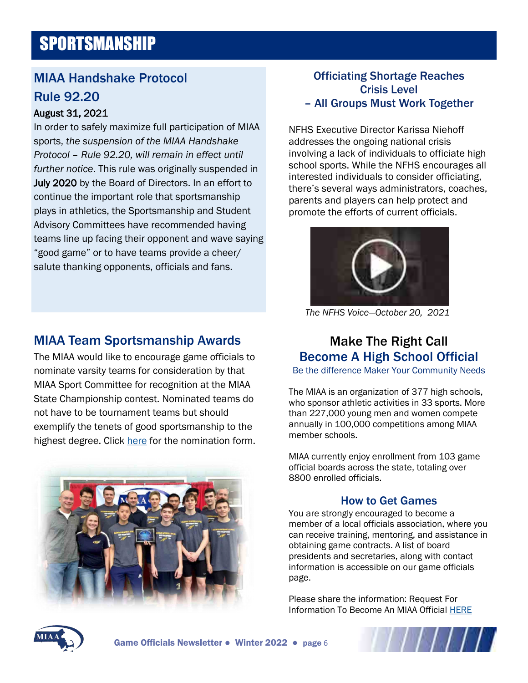# **SPORTSMANSHIP**

# MIAA Handshake Protocol Rule 92.20

#### August 31, 2021

In order to safely maximize full participation of MIAA sports, *the suspension of the MIAA Handshake Protocol – Rule 92.20, will remain in effect until further notice*. This rule was originally suspended in July 2020 by the Board of Directors. In an effort to continue the important role that sportsmanship plays in athletics, the Sportsmanship and Student Advisory Committees have recommended having teams line up facing their opponent and wave saying "good game" or to have teams provide a cheer/ salute thanking opponents, officials and fans.

### MIAA Team Sportsmanship Awards

The MIAA would like to encourage game officials to nominate varsity teams for consideration by that MIAA Sport Committee for recognition at the MIAA State Championship contest. Nominated teams do not have to be tournament teams but should exemplify the tenets of good sportsmanship to the highest degree. Click here for the nomination form.



### Officiating Shortage Reaches Crisis Level – All Groups Must Work Together

NFHS Executive Director Karissa Niehoff addresses the ongoing national crisis involving a lack of individuals to officiate high school sports. While the NFHS encourages all interested individuals to consider officiating, there's several ways administrators, coaches, parents and players can help protect and promote the efforts of current officials.



*The NFHS Voice—October 20, 2021* 

# Make The Right Call Become A High School Official

Be the difference Maker Your Community Needs

The MIAA is an organization of 377 high schools, who sponsor athletic activities in 33 sports. More than 227,000 young men and women compete annually in 100,000 competitions among MIAA member schools.

MIAA currently enjoy enrollment from 103 game official boards across the state, totaling over 8800 enrolled officials.

#### How to Get Games

You are strongly encouraged to become a member of a local officials association, where you can receive training, mentoring, and assistance in obtaining game contracts. A list of board presidents and secretaries, along with contact information is accessible on our game officials page.

Please share the information: Request For Information To Become An MIAA Official HERE